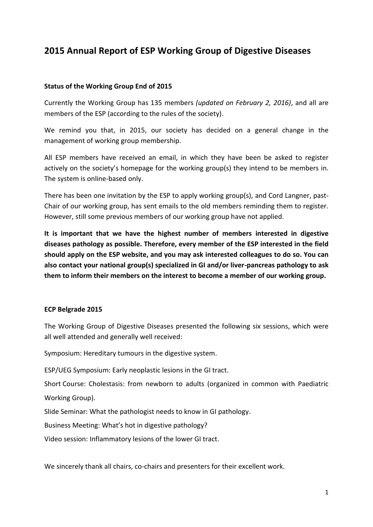# **2015 Annual Report of ESP Working Group of Digestive Diseases**

#### **Status of the Working Group End of 2015**

Currently the Working Group has 135 members *(updated on February 2, 2016)*, and all are members of the ESP (according to the rules of the society).

We remind you that, in 2015, our society has decided on a general change in the management of working group membership.

All ESP members have received an email, in which they have been be asked to register actively on the society's homepage for the working group(s) they intend to be members in. The system is online-based only.

There has been one invitation by the ESP to apply working group(s), and Cord Langner, past-Chair of our working group, has sent emails to the old members reminding them to register. However, still some previous members of our working group have not applied.

**It is important that we have the highest number of members interested in digestive diseases pathology as possible. Therefore, every member of the ESP interested in the field should apply on the ESP website, and you may ask interested colleagues to do so. You can also contact your national group(s) specialized in GI and/or liver-pancreas pathology to ask them to inform their members on the interest to become a member of our working group.**

#### **ECP Belgrade 2015**

The Working Group of Digestive Diseases presented the following six sessions, which were all well attended and generally well received:

Symposium: Hereditary tumours in the digestive system.

ESP/UEG Symposium: Early neoplastic lesions in the GI tract.

Short Course: Cholestasis: from newborn to adults (organized in common with Paediatric Working Group).

Slide Seminar: What the pathologist needs to know in GI pathology.

Business Meeting: What's hot in digestive pathology?

Video session: Inflammatory lesions of the lower GI tract.

We sincerely thank all chairs, co-chairs and presenters for their excellent work.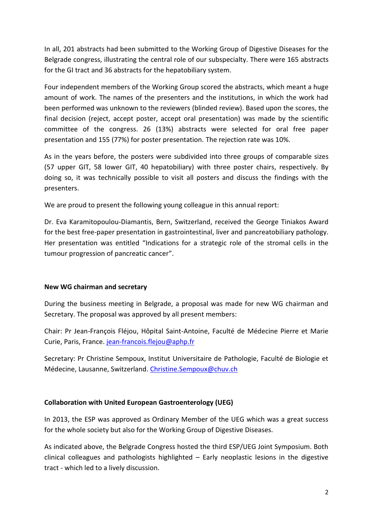In all, 201 abstracts had been submitted to the Working Group of Digestive Diseases for the Belgrade congress, illustrating the central role of our subspecialty. There were 165 abstracts for the GI tract and 36 abstracts for the hepatobiliary system.

Four independent members of the Working Group scored the abstracts, which meant a huge amount of work. The names of the presenters and the institutions, in which the work had been performed was unknown to the reviewers (blinded review). Based upon the scores, the final decision (reject, accept poster, accept oral presentation) was made by the scientific committee of the congress. 26 (13%) abstracts were selected for oral free paper presentation and 155 (77%) for poster presentation. The rejection rate was 10%.

As in the years before, the posters were subdivided into three groups of comparable sizes (57 upper GIT, 58 lower GIT, 40 hepatobiliary) with three poster chairs, respectively. By doing so, it was technically possible to visit all posters and discuss the findings with the presenters.

We are proud to present the following young colleague in this annual report:

Dr. Eva Karamitopoulou-Diamantis, Bern, Switzerland, received the George Tiniakos Award for the best free-paper presentation in gastrointestinal, liver and pancreatobiliary pathology. Her presentation was entitled "Indications for a strategic role of the stromal cells in the tumour progression of pancreatic cancer".

## **New WG chairman and secretary**

During the business meeting in Belgrade, a proposal was made for new WG chairman and Secretary. The proposal was approved by all present members:

Chair: Pr Jean-François Fléjou, Hôpital Saint-Antoine, Faculté de Médecine Pierre et Marie Curie, Paris, France. [jean-francois.flejou@aphp.fr](mailto:jean-francois.flejou@aphp.fr)

Secretary: Pr Christine Sempoux, Institut Universitaire de Pathologie, Faculté de Biologie et Médecine, Lausanne, Switzerland. [Christine.Sempoux@chuv.ch](mailto:Christine.Sempoux@chuv.ch)

## **Collaboration with United European Gastroenterology (UEG)**

In 2013, the ESP was approved as Ordinary Member of the UEG which was a great success for the whole society but also for the Working Group of Digestive Diseases.

As indicated above, the Belgrade Congress hosted the third ESP/UEG Joint Symposium. Both clinical colleagues and pathologists highlighted – Early neoplastic lesions in the digestive tract - which led to a lively discussion.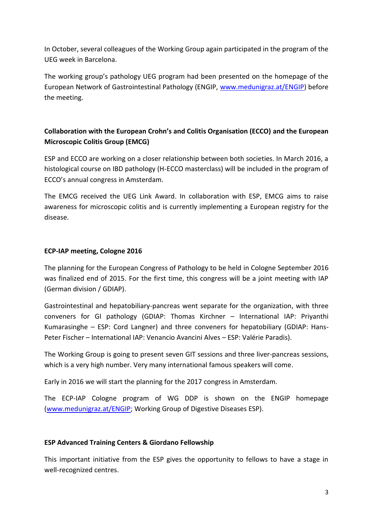In October, several colleagues of the Working Group again participated in the program of the UEG week in Barcelona.

The working group's pathology UEG program had been presented on the homepage of the European Network of Gastrointestinal Pathology (ENGIP, [www.medunigraz.at/ENGIP\)](http://www.medunigraz.at/ENGIP) before the meeting.

## **Collaboration with the European Crohn's and Colitis Organisation (ECCO) and the European Microscopic Colitis Group (EMCG)**

ESP and ECCO are working on a closer relationship between both societies. In March 2016, a histological course on IBD pathology (H-ECCO masterclass) will be included in the program of ECCO's annual congress in Amsterdam.

The EMCG received the UEG Link Award. In collaboration with ESP, EMCG aims to raise awareness for microscopic colitis and is currently implementing a European registry for the disease.

## **ECP-IAP meeting, Cologne 2016**

The planning for the European Congress of Pathology to be held in Cologne September 2016 was finalized end of 2015. For the first time, this congress will be a joint meeting with IAP (German division / GDIAP).

Gastrointestinal and hepatobiliary-pancreas went separate for the organization, with three conveners for GI pathology (GDIAP: Thomas Kirchner – International IAP: Priyanthi Kumarasinghe – ESP: Cord Langner) and three conveners for hepatobiliary (GDIAP: Hans-Peter Fischer – International IAP: Venancio Avancini Alves – ESP: Valérie Paradis).

The Working Group is going to present seven GIT sessions and three liver-pancreas sessions, which is a very high number. Very many international famous speakers will come.

Early in 2016 we will start the planning for the 2017 congress in Amsterdam.

The ECP-IAP Cologne program of WG DDP is shown on the ENGIP homepage [\(www.medunigraz.at/ENGIP;](http://www.medunigraz.at/ENGIP) Working Group of Digestive Diseases ESP).

## **ESP Advanced Training Centers & Giordano Fellowship**

This important initiative from the ESP gives the opportunity to fellows to have a stage in well-recognized centres.